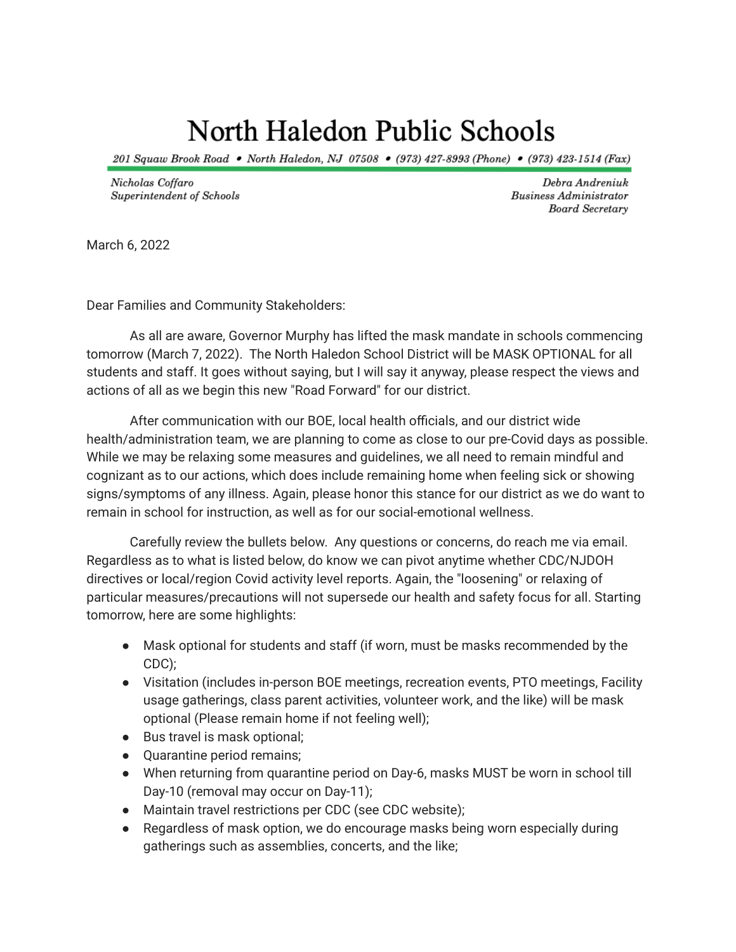## North Haledon Public Schools

201 Squaw Brook Road • North Haledon, NJ 07508 • (973) 427-8993 (Phone) • (973) 423-1514 (Fax)

Nicholas Coffaro Superintendent of Schools

Debra Andreniuk **Business Administrator** Board Secretary

March 6, 2022

Dear Families and Community Stakeholders:

As all are aware, Governor Murphy has lifted the mask mandate in schools commencing tomorrow (March 7, 2022). The North Haledon School District will be MASK OPTIONAL for all students and staff. It goes without saying, but I will say it anyway, please respect the views and actions of all as we begin this new "Road Forward" for our district.

After communication with our BOE, local health officials, and our district wide health/administration team, we are planning to come as close to our pre-Covid days as possible. While we may be relaxing some measures and guidelines, we all need to remain mindful and cognizant as to our actions, which does include remaining home when feeling sick or showing signs/symptoms of any illness. Again, please honor this stance for our district as we do want to remain in school for instruction, as well as for our social-emotional wellness.

Carefully review the bullets below. Any questions or concerns, do reach me via email. Regardless as to what is listed below, do know we can pivot anytime whether CDC/NJDOH directives or local/region Covid activity level reports. Again, the "loosening" or relaxing of particular measures/precautions will not supersede our health and safety focus for all. Starting tomorrow, here are some highlights:

- Mask optional for students and staff (if worn, must be masks recommended by the CDC);
- Visitation (includes in-person BOE meetings, recreation events, PTO meetings, Facility usage gatherings, class parent activities, volunteer work, and the like) will be mask optional (Please remain home if not feeling well);
- Bus travel is mask optional;
- Quarantine period remains;
- When returning from quarantine period on Day-6, masks MUST be worn in school till Day-10 (removal may occur on Day-11);
- Maintain travel restrictions per CDC (see CDC website);
- Regardless of mask option, we do encourage masks being worn especially during gatherings such as assemblies, concerts, and the like;